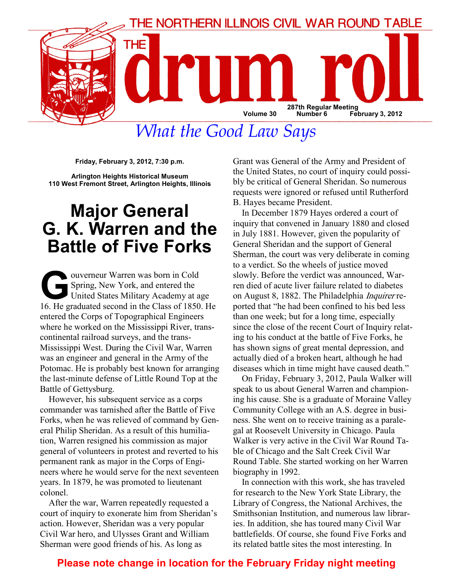

What the Good Law Says

Friday, February 3, 2012, 7:30 p.m.

Arlington Heights Historical Museum 110 West Fremont Street, Arlington Heights, Illinois

# Major General G. K. Warren and the Battle of Five Forks

Spring, New York, and entered the<br>United States Military Academy at a<br>16 He graduated second in the Class of 1850 Spring, New York, and entered the United States Military Academy at age 16. He graduated second in the Class of 1850. He entered the Corps of Topographical Engineers where he worked on the Mississippi River, transcontinental railroad surveys, and the trans-Mississippi West. During the Civil War, Warren was an engineer and general in the Army of the Potomac. He is probably best known for arranging the last-minute defense of Little Round Top at the Battle of Gettysburg.

However, his subsequent service as a corps commander was tarnished after the Battle of Five Forks, when he was relieved of command by General Philip Sheridan. As a result of this humiliation, Warren resigned his commission as major general of volunteers in protest and reverted to his permanent rank as major in the Corps of Engineers where he would serve for the next seventeen years. In 1879, he was promoted to lieutenant colonel.

After the war, Warren repeatedly requested a court of inquiry to exonerate him from Sheridan's action. However, Sheridan was a very popular Civil War hero, and Ulysses Grant and William Sherman were good friends of his. As long as

Grant was General of the Army and President of the United States, no court of inquiry could possibly be critical of General Sheridan. So numerous requests were ignored or refused until Rutherford B. Hayes became President.

In December 1879 Hayes ordered a court of inquiry that convened in January 1880 and closed in July 1881. However, given the popularity of General Sheridan and the support of General Sherman, the court was very deliberate in coming to a verdict. So the wheels of justice moved slowly. Before the verdict was announced, Warren died of acute liver failure related to diabetes on August 8, 1882. The Philadelphia Inquirer reported that "he had been confined to his bed less than one week; but for a long time, especially since the close of the recent Court of Inquiry relating to his conduct at the battle of Five Forks, he has shown signs of great mental depression, and actually died of a broken heart, although he had diseases which in time might have caused death."

On Friday, February 3, 2012, Paula Walker will speak to us about General Warren and championing his cause. She is a graduate of Moraine Valley Community College with an A.S. degree in business. She went on to receive training as a paralegal at Roosevelt University in Chicago. Paula Walker is very active in the Civil War Round Table of Chicago and the Salt Creek Civil War Round Table. She started working on her Warren biography in 1992.

In connection with this work, she has traveled for research to the New York State Library, the Library of Congress, the National Archives, the Smithsonian Institution, and numerous law libraries. In addition, she has toured many Civil War battlefields. Of course, she found Five Forks and its related battle sites the most interesting. In

## Please note change in location for the February Friday night meeting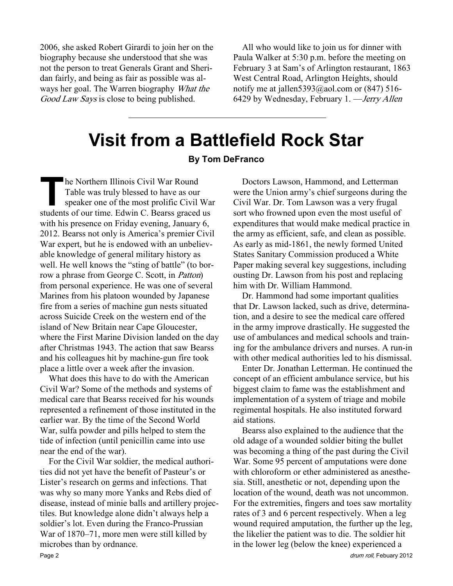2006, she asked Robert Girardi to join her on the biography because she understood that she was not the person to treat Generals Grant and Sheridan fairly, and being as fair as possible was always her goal. The Warren biography What the Good Law Says is close to being published.

All who would like to join us for dinner with Paula Walker at 5:30 p.m. before the meeting on February 3 at Sam's of Arlington restaurant, 1863 West Central Road, Arlington Heights, should notify me at jallen5393@aol.com or  $(847)$  516-6429 by Wednesday, February 1. —Jerry Allen

# Visit from a Battlefield Rock Star

#### By Tom DeFranco

The Northern Illinois Civil War Round<br>Table was truly blessed to have as our<br>speaker one of the most prolific Civil<br>students of our time. Edwin C. Bearss graced Table was truly blessed to have as our speaker one of the most prolific Civil War students of our time. Edwin C. Bearss graced us with his presence on Friday evening, January 6, 2012. Bearss not only is America's premier Civil War expert, but he is endowed with an unbelievable knowledge of general military history as well. He well knows the "sting of battle" (to borrow a phrase from George C. Scott, in Patton) from personal experience. He was one of several Marines from his platoon wounded by Japanese fire from a series of machine gun nests situated across Suicide Creek on the western end of the island of New Britain near Cape Gloucester, where the First Marine Division landed on the day after Christmas 1943. The action that saw Bearss and his colleagues hit by machine-gun fire took place a little over a week after the invasion.

What does this have to do with the American Civil War? Some of the methods and systems of medical care that Bearss received for his wounds represented a refinement of those instituted in the earlier war. By the time of the Second World War, sulfa powder and pills helped to stem the tide of infection (until penicillin came into use near the end of the war).

For the Civil War soldier, the medical authorities did not yet have the benefit of Pasteur's or Lister's research on germs and infections. That was why so many more Yanks and Rebs died of disease, instead of minie balls and artillery projectiles. But knowledge alone didn't always help a soldier's lot. Even during the Franco-Prussian War of 1870–71, more men were still killed by microbes than by ordnance.

Doctors Lawson, Hammond, and Letterman were the Union army's chief surgeons during the Civil War. Dr. Tom Lawson was a very frugal sort who frowned upon even the most useful of expenditures that would make medical practice in the army as efficient, safe, and clean as possible. As early as mid-1861, the newly formed United States Sanitary Commission produced a White Paper making several key suggestions, including ousting Dr. Lawson from his post and replacing him with Dr. William Hammond.

Dr. Hammond had some important qualities that Dr. Lawson lacked, such as drive, determination, and a desire to see the medical care offered in the army improve drastically. He suggested the use of ambulances and medical schools and training for the ambulance drivers and nurses. A run-in with other medical authorities led to his dismissal

Enter Dr. Jonathan Letterman. He continued the concept of an efficient ambulance service, but his biggest claim to fame was the establishment and implementation of a system of triage and mobile regimental hospitals. He also instituted forward aid stations.

Bearss also explained to the audience that the old adage of a wounded soldier biting the bullet was becoming a thing of the past during the Civil War. Some 95 percent of amputations were done with chloroform or ether administered as anesthesia. Still, anesthetic or not, depending upon the location of the wound, death was not uncommon. For the extremities, fingers and toes saw mortality rates of 3 and 6 percent respectively. When a leg wound required amputation, the further up the leg, the likelier the patient was to die. The soldier hit in the lower leg (below the knee) experienced a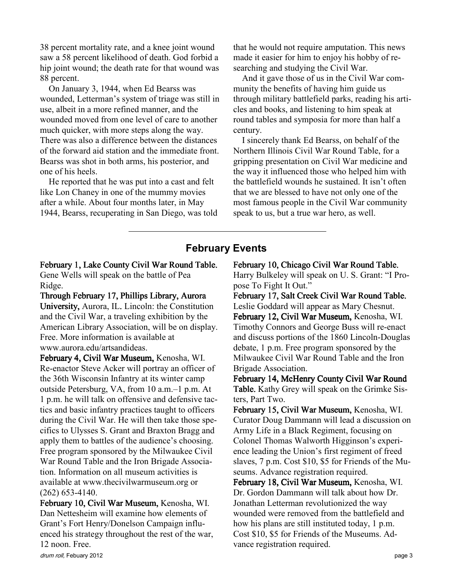38 percent mortality rate, and a knee joint wound saw a 58 percent likelihood of death. God forbid a hip joint wound; the death rate for that wound was 88 percent.

On January 3, 1944, when Ed Bearss was wounded, Letterman's system of triage was still in use, albeit in a more refined manner, and the wounded moved from one level of care to another much quicker, with more steps along the way. There was also a difference between the distances of the forward aid station and the immediate front. Bearss was shot in both arms, his posterior, and one of his heels.

He reported that he was put into a cast and felt like Lon Chaney in one of the mummy movies after a while. About four months later, in May 1944, Bearss, recuperating in San Diego, was told that he would not require amputation. This news made it easier for him to enjoy his hobby of researching and studying the Civil War.

And it gave those of us in the Civil War community the benefits of having him guide us through military battlefield parks, reading his articles and books, and listening to him speak at round tables and symposia for more than half a century.

I sincerely thank Ed Bearss, on behalf of the Northern Illinois Civil War Round Table, for a gripping presentation on Civil War medicine and the way it influenced those who helped him with the battlefield wounds he sustained. It isn't often that we are blessed to have not only one of the most famous people in the Civil War community speak to us, but a true war hero, as well.

## February Events

#### February 1, Lake County Civil War Round Table. Gene Wells will speak on the battle of Pea Ridge.

Through February 17, Phillips Library, Aurora University, Aurora, IL. Lincoln: the Constitution and the Civil War, a traveling exhibition by the American Library Association, will be on display. Free. More information is available at www.aurora.edu/artsandideas.

February 4, Civil War Museum, Kenosha, WI. Re-enactor Steve Acker will portray an officer of the 36th Wisconsin Infantry at its winter camp outside Petersburg, VA, from 10 a.m.–1 p.m. At 1 p.m. he will talk on offensive and defensive tactics and basic infantry practices taught to officers during the Civil War. He will then take those specifics to Ulysses S. Grant and Braxton Bragg and apply them to battles of the audience's choosing. Free program sponsored by the Milwaukee Civil War Round Table and the Iron Brigade Association. Information on all museum activities is available at www.thecivilwarmuseum.org or (262) 653-4140.

February 10, Civil War Museum, Kenosha, WI. Dan Nettesheim will examine how elements of Grant's Fort Henry/Donelson Campaign influenced his strategy throughout the rest of the war, 12 noon. Free.

February 10, Chicago Civil War Round Table.

Harry Bulkeley will speak on U. S. Grant: "I Propose To Fight It Out."

February 17, Salt Creek Civil War Round Table. Leslie Goddard will appear as Mary Chesnut. February 12, Civil War Museum, Kenosha, WI. Timothy Connors and George Buss will re-enact and discuss portions of the 1860 Lincoln-Douglas debate, 1 p.m. Free program sponsored by the Milwaukee Civil War Round Table and the Iron Brigade Association.

February 14, McHenry County Civil War Round Table. Kathy Grey will speak on the Grimke Sisters, Part Two.

February 15, Civil War Museum, Kenosha, WI. Curator Doug Dammann will lead a discussion on Army Life in a Black Regiment, focusing on Colonel Thomas Walworth Higginson's experience leading the Union's first regiment of freed slaves, 7 p.m. Cost \$10, \$5 for Friends of the Museums. Advance registration required.

February 18, Civil War Museum, Kenosha, WI. Dr. Gordon Dammann will talk about how Dr. Jonathan Letterman revolutionized the way wounded were removed from the battlefield and how his plans are still instituted today, 1 p.m. Cost \$10, \$5 for Friends of the Museums. Advance registration required.